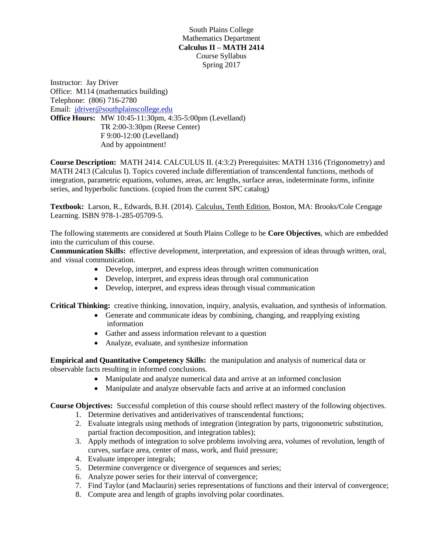South Plains College Mathematics Department **Calculus II – MATH 2414** Course Syllabus Spring 2017

Instructor: Jay Driver Office: M114 (mathematics building) Telephone: (806) 716-2780 Email: [jdriver@southplainscollege.edu](mailto:jdriver@southplainscollege.edu) **Office Hours:** MW 10:45-11:30pm, 4:35-5:00pm (Levelland) TR 2:00-3:30pm (Reese Center) F 9:00-12:00 (Levelland) And by appointment!

**Course Description:** MATH 2414. CALCULUS II. (4:3:2) Prerequisites: MATH 1316 (Trigonometry) and MATH 2413 (Calculus I). Topics covered include differentiation of transcendental functions, methods of integration, parametric equations, volumes, areas, arc lengths, surface areas, indeterminate forms, infinite series, and hyperbolic functions. (copied from the current SPC catalog)

**Textbook:** Larson, R., Edwards, B.H. (2014). Calculus, Tenth Edition. Boston, MA: Brooks/Cole Cengage Learning. ISBN 978-1-285-05709-5.

The following statements are considered at South Plains College to be **Core Objectives**, which are embedded into the curriculum of this course.

**Communication Skills:** effective development, interpretation, and expression of ideas through written, oral, and visual communication.

- Develop, interpret, and express ideas through written communication
- Develop, interpret, and express ideas through oral communication
- Develop, interpret, and express ideas through visual communication

**Critical Thinking:** creative thinking, innovation, inquiry, analysis, evaluation, and synthesis of information.

- Generate and communicate ideas by combining, changing, and reapplying existing information
- Gather and assess information relevant to a question
- Analyze, evaluate, and synthesize information

**Empirical and Quantitative Competency Skills:** the manipulation and analysis of numerical data or observable facts resulting in informed conclusions.

- Manipulate and analyze numerical data and arrive at an informed conclusion
- Manipulate and analyze observable facts and arrive at an informed conclusion

**Course Objectives:** Successful completion of this course should reflect mastery of the following objectives.

- 1. Determine derivatives and antiderivatives of transcendental functions;
- 2. Evaluate integrals using methods of integration (integration by parts, trigonometric substitution, partial fraction decomposition, and integration tables);
- 3. Apply methods of integration to solve problems involving area, volumes of revolution, length of curves, surface area, center of mass, work, and fluid pressure;
- 4. Evaluate improper integrals;
- 5. Determine convergence or divergence of sequences and series;
- 6. Analyze power series for their interval of convergence;
- 7. Find Taylor (and Maclaurin) series representations of functions and their interval of convergence;
- 8. Compute area and length of graphs involving polar coordinates.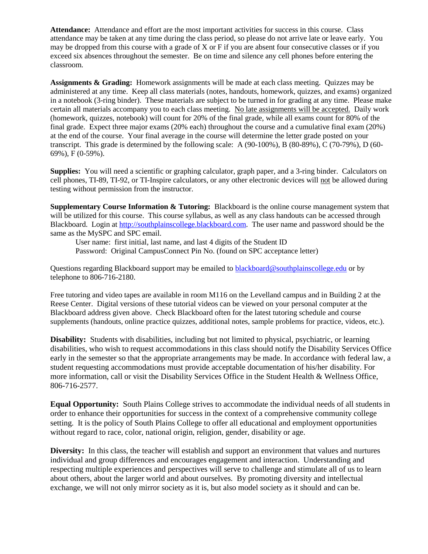**Attendance:** Attendance and effort are the most important activities for success in this course. Class attendance may be taken at any time during the class period, so please do not arrive late or leave early. You may be dropped from this course with a grade of X or F if you are absent four consecutive classes or if you exceed six absences throughout the semester. Be on time and silence any cell phones before entering the classroom.

**Assignments & Grading:** Homework assignments will be made at each class meeting. Quizzes may be administered at any time. Keep all class materials (notes, handouts, homework, quizzes, and exams) organized in a notebook (3-ring binder). These materials are subject to be turned in for grading at any time. Please make certain all materials accompany you to each class meeting. No late assignments will be accepted. Daily work (homework, quizzes, notebook) will count for 20% of the final grade, while all exams count for 80% of the final grade. Expect three major exams (20% each) throughout the course and a cumulative final exam (20%) at the end of the course. Your final average in the course will determine the letter grade posted on your transcript. This grade is determined by the following scale: A (90-100%), B (80-89%), C (70-79%), D (60- 69%), F (0-59%).

**Supplies:** You will need a scientific or graphing calculator, graph paper, and a 3-ring binder. Calculators on cell phones, TI-89, TI-92, or TI-Inspire calculators, or any other electronic devices will not be allowed during testing without permission from the instructor.

**Supplementary Course Information & Tutoring:** Blackboard is the online course management system that will be utilized for this course. This course syllabus, as well as any class handouts can be accessed through Blackboard. Login at [http://southplainscollege.blackboard.com.](http://southplainscollege.blackboard.com/) The user name and password should be the same as the MySPC and SPC email.

User name: first initial, last name, and last 4 digits of the Student ID Password: Original CampusConnect Pin No. (found on SPC acceptance letter)

Questions regarding Blackboard support may be emailed to [blackboard@southplainscollege.edu](mailto:blackboard@southplainscollege.edu) or by telephone to 806-716-2180.

Free tutoring and video tapes are available in room M116 on the Levelland campus and in Building 2 at the Reese Center. Digital versions of these tutorial videos can be viewed on your personal computer at the Blackboard address given above. Check Blackboard often for the latest tutoring schedule and course supplements (handouts, online practice quizzes, additional notes, sample problems for practice, videos, etc.).

**Disability:** Students with disabilities, including but not limited to physical, psychiatric, or learning disabilities, who wish to request accommodations in this class should notify the Disability Services Office early in the semester so that the appropriate arrangements may be made. In accordance with federal law, a student requesting accommodations must provide acceptable documentation of his/her disability. For more information, call or visit the Disability Services Office in the Student Health & Wellness Office, 806-716-2577.

**Equal Opportunity:** South Plains College strives to accommodate the individual needs of all students in order to enhance their opportunities for success in the context of a comprehensive community college setting. It is the policy of South Plains College to offer all educational and employment opportunities without regard to race, color, national origin, religion, gender, disability or age.

**Diversity:** In this class, the teacher will establish and support an environment that values and nurtures individual and group differences and encourages engagement and interaction. Understanding and respecting multiple experiences and perspectives will serve to challenge and stimulate all of us to learn about others, about the larger world and about ourselves. By promoting diversity and intellectual exchange, we will not only mirror society as it is, but also model society as it should and can be.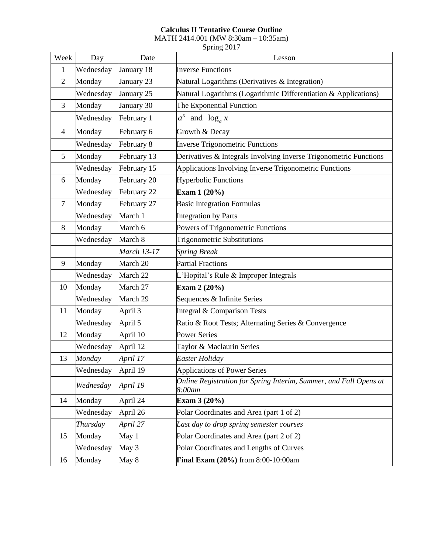## **Calculus II Tentative Course Outline**

MATH 2414.001 (MW 8:30am – 10:35am)

Spring 2017

| Week           | Day       | Date               | Lesson                                                                      |
|----------------|-----------|--------------------|-----------------------------------------------------------------------------|
| 1              | Wednesday | January 18         | <b>Inverse Functions</b>                                                    |
| $\overline{2}$ | Monday    | January 23         | Natural Logarithms (Derivatives & Integration)                              |
|                | Wednesday | January 25         | Natural Logarithms (Logarithmic Differentiation & Applications)             |
| 3              | Monday    | January 30         | The Exponential Function                                                    |
|                | Wednesday | February 1         | $a^x$ and $\log_a x$                                                        |
| $\overline{4}$ | Monday    | February 6         | Growth & Decay                                                              |
|                | Wednesday | February 8         | <b>Inverse Trigonometric Functions</b>                                      |
| 5              | Monday    | February 13        | Derivatives & Integrals Involving Inverse Trigonometric Functions           |
|                | Wednesday | February 15        | Applications Involving Inverse Trigonometric Functions                      |
| 6              | Monday    | February 20        | <b>Hyperbolic Functions</b>                                                 |
|                | Wednesday | February 22        | Exam 1 (20%)                                                                |
| 7              | Monday    | February 27        | <b>Basic Integration Formulas</b>                                           |
|                | Wednesday | March 1            | <b>Integration by Parts</b>                                                 |
| 8              | Monday    | March 6            | Powers of Trigonometric Functions                                           |
|                | Wednesday | March 8            | <b>Trigonometric Substitutions</b>                                          |
|                |           | <b>March 13-17</b> | <b>Spring Break</b>                                                         |
| 9              | Monday    | March 20           | <b>Partial Fractions</b>                                                    |
|                | Wednesday | March 22           | L'Hopital's Rule & Improper Integrals                                       |
| 10             | Monday    | March 27           | Exam 2 (20%)                                                                |
|                | Wednesday | March 29           | Sequences & Infinite Series                                                 |
| 11             | Monday    | April 3            | Integral & Comparison Tests                                                 |
|                | Wednesday | April 5            | Ratio & Root Tests; Alternating Series & Convergence                        |
| 12             | Monday    | April 10           | <b>Power Series</b>                                                         |
|                | Wednesday | April 12           | Taylor & Maclaurin Series                                                   |
| 13             | Monday    | April 17           | Easter Holiday                                                              |
|                | Wednesday | April 19           | <b>Applications of Power Series</b>                                         |
|                | Wednesday | April 19           | Online Registration for Spring Interim, Summer, and Fall Opens at<br>8:00am |
| 14             | Monday    | April 24           | Exam 3 (20%)                                                                |
|                | Wednesday | April 26           | Polar Coordinates and Area (part 1 of 2)                                    |
|                | Thursday  | April 27           | Last day to drop spring semester courses                                    |
| 15             | Monday    | May 1              | Polar Coordinates and Area (part 2 of 2)                                    |
|                | Wednesday | May 3              | Polar Coordinates and Lengths of Curves                                     |
| 16             | Monday    | May 8              | <b>Final Exam <math>(20\%)</math></b> from $8:00-10:00$ am                  |